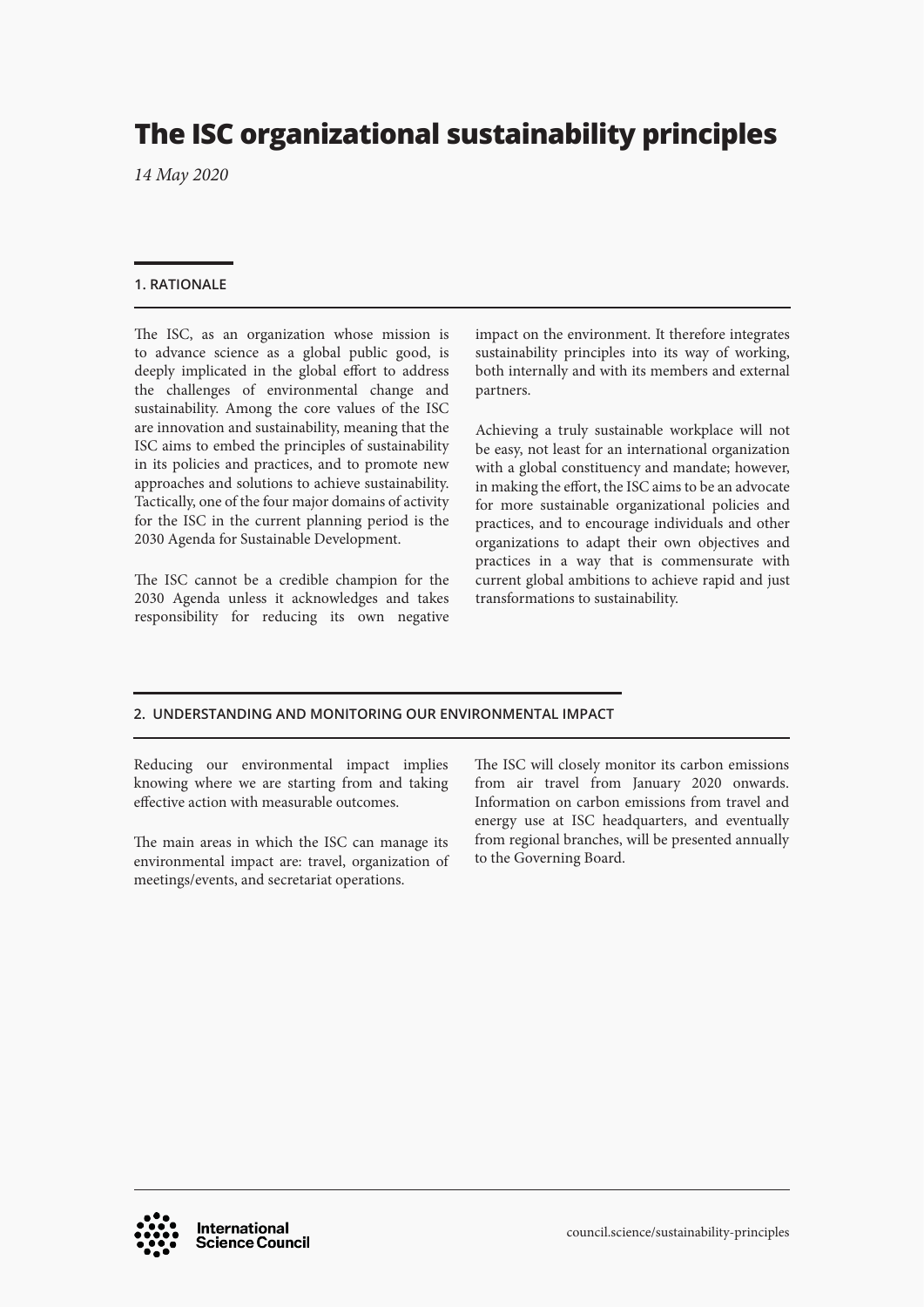# **The ISC organizational sustainability principles**

*14 May 2020*

# **1. RATIONALE**

The ISC, as an organization whose mission is to advance science as a global public good, is deeply implicated in the global effort to address the challenges of environmental change and sustainability. Among the core values of the ISC are innovation and sustainability, meaning that the ISC aims to embed the principles of sustainability in its policies and practices, and to promote new approaches and solutions to achieve sustainability. Tactically, one of the four major domains of activity for the ISC in the current planning period is the 2030 Agenda for Sustainable Development.

The ISC cannot be a credible champion for the 2030 Agenda unless it acknowledges and takes responsibility for reducing its own negative impact on the environment. It therefore integrates sustainability principles into its way of working, both internally and with its members and external partners.

Achieving a truly sustainable workplace will not be easy, not least for an international organization with a global constituency and mandate; however, in making the effort, the ISC aims to be an advocate for more sustainable organizational policies and practices, and to encourage individuals and other organizations to adapt their own objectives and practices in a way that is commensurate with current global ambitions to achieve rapid and just transformations to sustainability.

# **2. UNDERSTANDING AND MONITORING OUR ENVIRONMENTAL IMPACT**

Reducing our environmental impact implies knowing where we are starting from and taking effective action with measurable outcomes.

The main areas in which the ISC can manage its environmental impact are: travel, organization of meetings/events, and secretariat operations.

The ISC will closely monitor its carbon emissions from air travel from January 2020 onwards. Information on carbon emissions from travel and energy use at ISC headquarters, and eventually from regional branches, will be presented annually to the Governing Board.

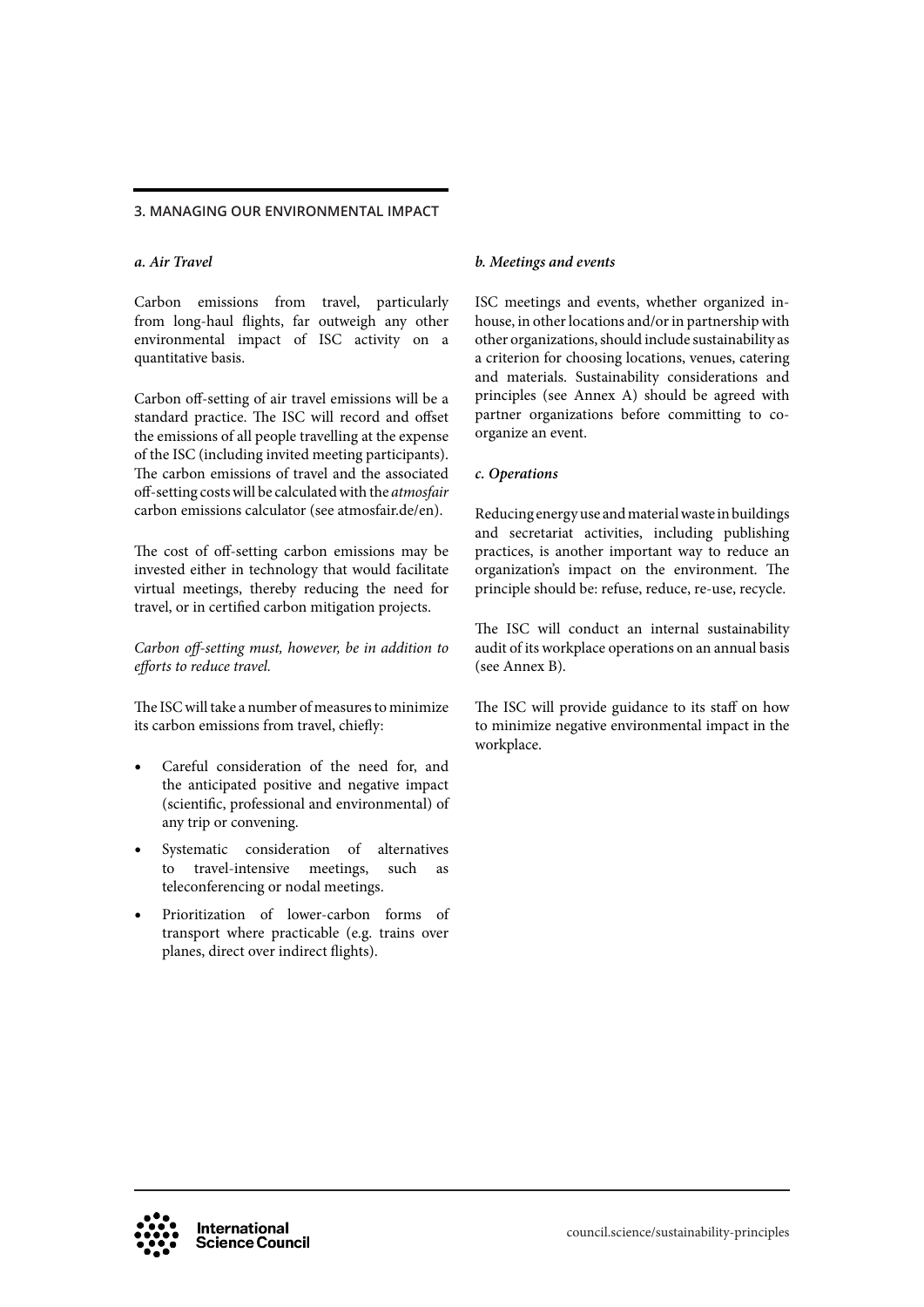## **3. MANAGING OUR ENVIRONMENTAL IMPACT**

# *a. Air Travel*

Carbon emissions from travel, particularly from long-haul flights, far outweigh any other environmental impact of ISC activity on a quantitative basis.

Carbon off-setting of air travel emissions will be a standard practice. The ISC will record and offset the emissions of all people travelling at the expense of the ISC (including invited meeting participants). The carbon emissions of travel and the associated off-setting costs will be calculated with the *atmosfair* carbon emissions calculator (see atmosfair.de/en).

The cost of off-setting carbon emissions may be invested either in technology that would facilitate virtual meetings, thereby reducing the need for travel, or in certified carbon mitigation projects.

*Carbon off-setting must, however, be in addition to efforts to reduce travel.* 

The ISC will take a number of measures to minimize its carbon emissions from travel, chiefly:

- Careful consideration of the need for, and the anticipated positive and negative impact (scientific, professional and environmental) of any trip or convening.
- Systematic consideration of alternatives to travel-intensive meetings, such as teleconferencing or nodal meetings.
- Prioritization of lower-carbon forms of transport where practicable (e.g. trains over planes, direct over indirect flights).

## *b. Meetings and events*

ISC meetings and events, whether organized inhouse, in other locations and/or in partnership with other organizations, should include sustainability as a criterion for choosing locations, venues, catering and materials. Sustainability considerations and principles (see Annex A) should be agreed with partner organizations before committing to coorganize an event.

## *c. Operations*

Reducing energy use and material waste in buildings and secretariat activities, including publishing practices, is another important way to reduce an organization's impact on the environment. The principle should be: refuse, reduce, re-use, recycle.

The ISC will conduct an internal sustainability audit of its workplace operations on an annual basis (see Annex B).

The ISC will provide guidance to its staff on how to minimize negative environmental impact in the workplace.

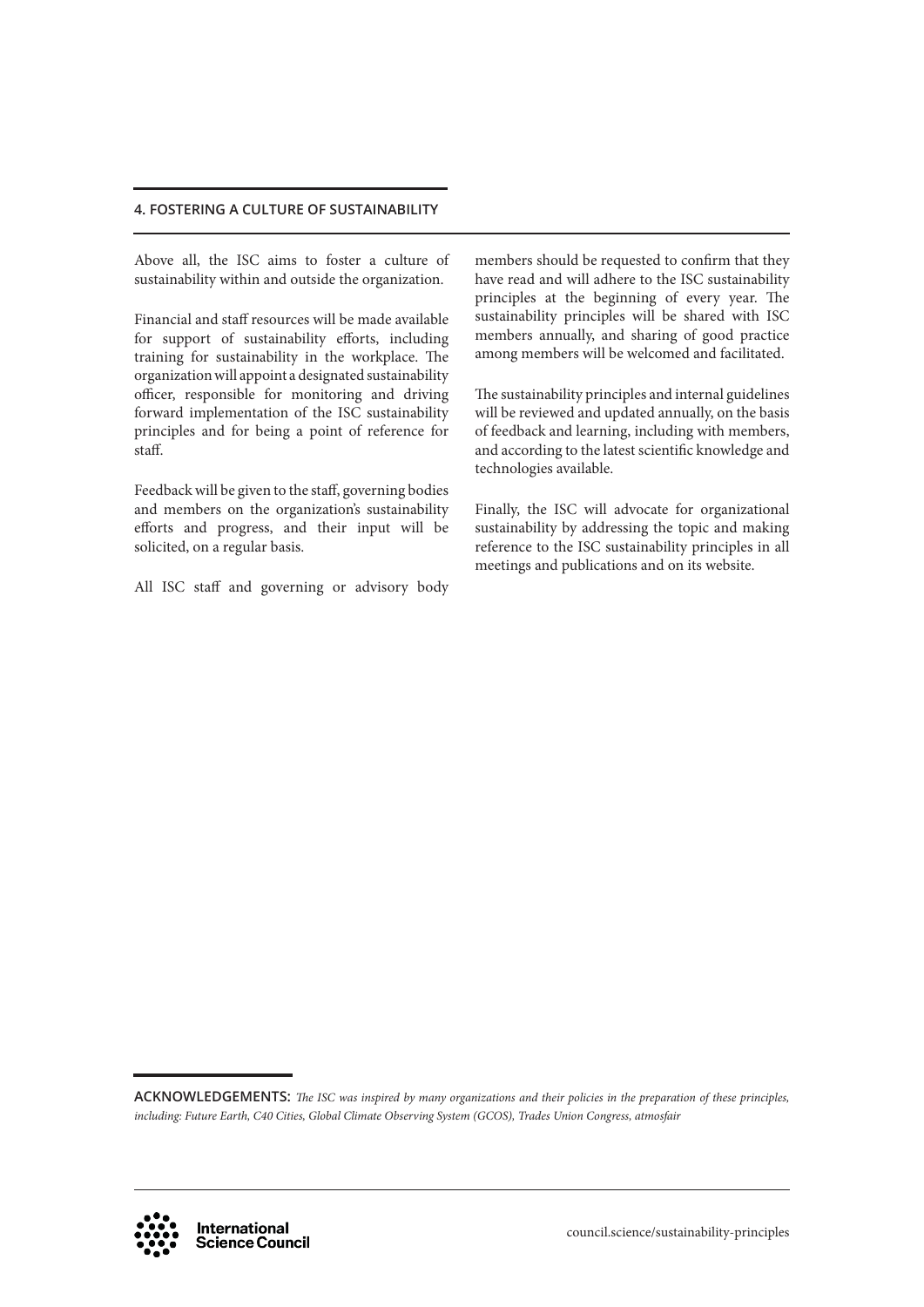Above all, the ISC aims to foster a culture of sustainability within and outside the organization.

Financial and staff resources will be made available for support of sustainability efforts, including training for sustainability in the workplace. The organization will appoint a designated sustainability officer, responsible for monitoring and driving forward implementation of the ISC sustainability principles and for being a point of reference for staff.

Feedback will be given to the staff, governing bodies and members on the organization's sustainability efforts and progress, and their input will be solicited, on a regular basis.

All ISC staff and governing or advisory body

members should be requested to confirm that they have read and will adhere to the ISC sustainability principles at the beginning of every year. The sustainability principles will be shared with ISC members annually, and sharing of good practice among members will be welcomed and facilitated.

The sustainability principles and internal guidelines will be reviewed and updated annually, on the basis of feedback and learning, including with members, and according to the latest scientific knowledge and technologies available.

Finally, the ISC will advocate for organizational sustainability by addressing the topic and making reference to the ISC sustainability principles in all meetings and publications and on its website.

**ACKNOWLEDGEMENTS:** *The ISC was inspired by many organizations and their policies in the preparation of these principles, including: Future Earth, C40 Cities, Global Climate Observing System (GCOS), Trades Union Congress, atmosfair*

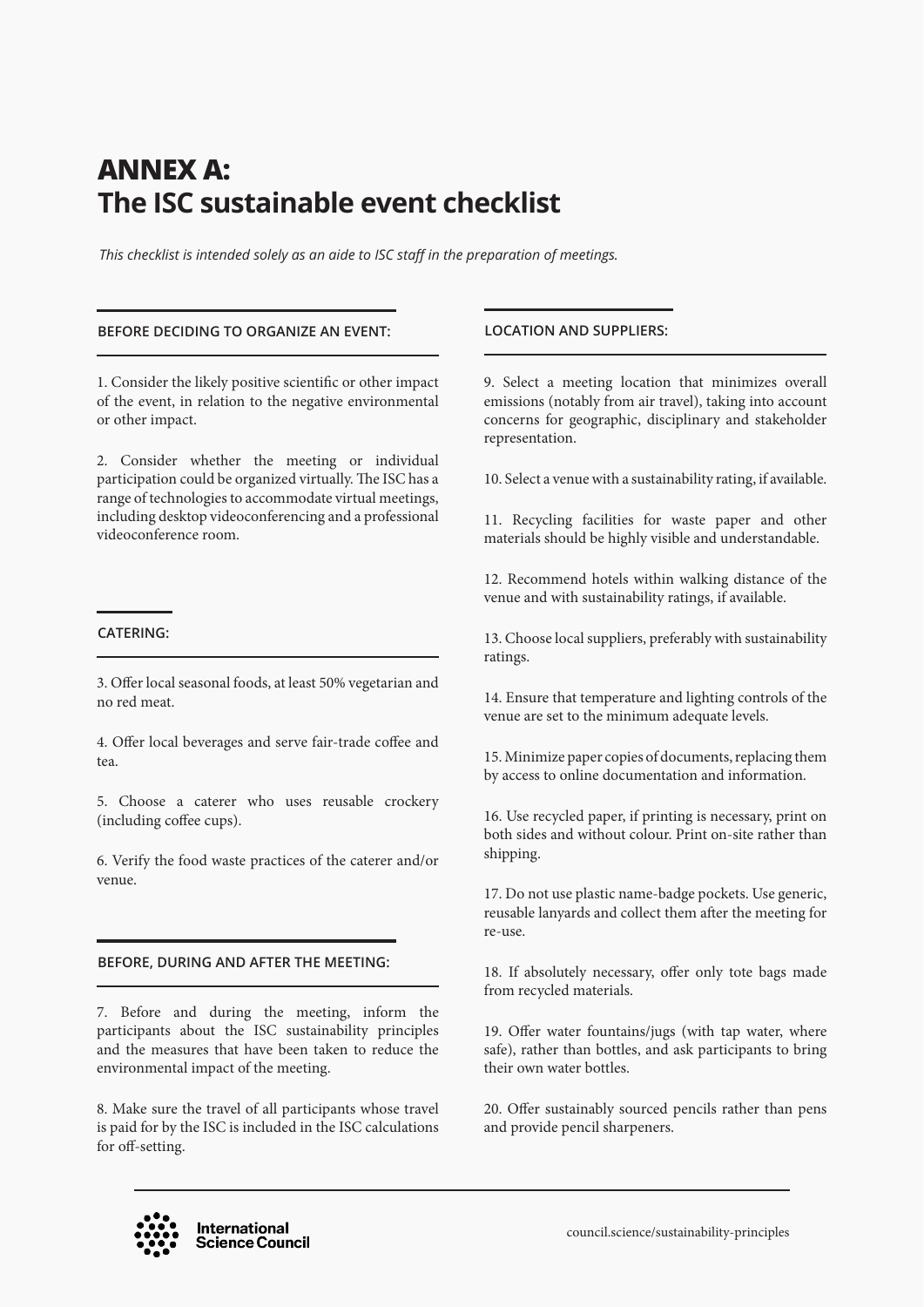# **ANNEX A: The ISC sustainable event checklist**

*This checklist is intended solely as an aide to ISC staff in the preparation of meetings.* 

### **BEFORE DECIDING TO ORGANIZE AN EVENT: LOCATION AND SUPPLIERS:**

1. Consider the likely positive scientific or other impact of the event, in relation to the negative environmental or other impact.

2. Consider whether the meeting or individual participation could be organized virtually. The ISC has a range of technologies to accommodate virtual meetings, including desktop videoconferencing and a professional videoconference room.

### **CATERING:**

3. Offer local seasonal foods, at least 50% vegetarian and no red meat.

4. Offer local beverages and serve fair-trade coffee and tea.

5. Choose a caterer who uses reusable crockery (including coffee cups).

6. Verify the food waste practices of the caterer and/or venue.

### **BEFORE, DURING AND AFTER THE MEETING:**

7. Before and during the meeting, inform the participants about the ISC sustainability principles and the measures that have been taken to reduce the environmental impact of the meeting.

8. Make sure the travel of all participants whose travel is paid for by the ISC is included in the ISC calculations for off-setting.

9. Select a meeting location that minimizes overall emissions (notably from air travel), taking into account concerns for geographic, disciplinary and stakeholder representation.

10. Select a venue with a sustainability rating, if available.

11. Recycling facilities for waste paper and other materials should be highly visible and understandable.

12. Recommend hotels within walking distance of the venue and with sustainability ratings, if available.

13. Choose local suppliers, preferably with sustainability ratings.

14. Ensure that temperature and lighting controls of the venue are set to the minimum adequate levels.

15. Minimize paper copies of documents, replacing them by access to online documentation and information.

16. Use recycled paper, if printing is necessary, print on both sides and without colour. Print on-site rather than shipping.

17. Do not use plastic name-badge pockets. Use generic, reusable lanyards and collect them after the meeting for re-use.

18. If absolutely necessary, offer only tote bags made from recycled materials.

19. Offer water fountains/jugs (with tap water, where safe), rather than bottles, and ask participants to bring their own water bottles.

20. Offer sustainably sourced pencils rather than pens and provide pencil sharpeners.

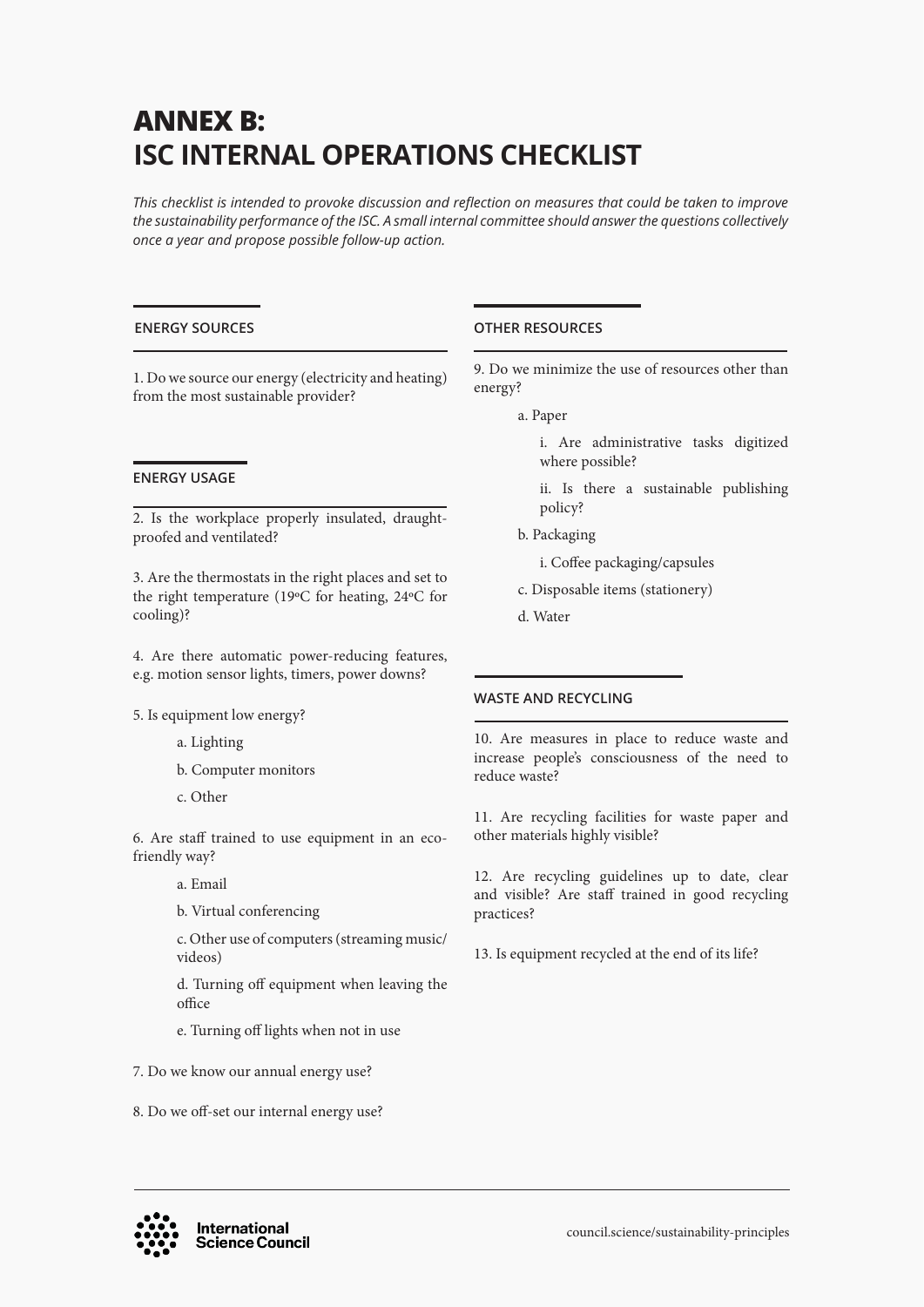# **ANNEX B: ISC INTERNAL OPERATIONS CHECKLIST**

*This checklist is intended to provoke discussion and reflection on measures that could be taken to improve the sustainability performance of the ISC. A small internal committee should answer the questions collectively once a year and propose possible follow-up action.* 

# **ENERGY SOURCES**

1. Do we source our energy (electricity and heating) from the most sustainable provider?

# **ENERGY USAGE**

2. Is the workplace properly insulated, draughtproofed and ventilated?

3. Are the thermostats in the right places and set to the right temperature (19ºC for heating, 24ºC for cooling)?

4. Are there automatic power-reducing features, e.g. motion sensor lights, timers, power downs?

5. Is equipment low energy?

- a. Lighting
- b. Computer monitors
- c. Other

6. Are staff trained to use equipment in an ecofriendly way?

a. Email

b. Virtual conferencing

c. Other use of computers (streaming music/ videos)

d. Turning off equipment when leaving the office

- e. Turning off lights when not in use
- 7. Do we know our annual energy use?
- 8. Do we off-set our internal energy use?

# **OTHER RESOURCES**

9. Do we minimize the use of resources other than energy?

- a. Paper
	- i. Are administrative tasks digitized where possible?
	- ii. Is there a sustainable publishing policy?
- b. Packaging
	- i. Coffee packaging/capsules
- c. Disposable items (stationery)
- d. Water

# **WASTE AND RECYCLING**

10. Are measures in place to reduce waste and increase people's consciousness of the need to reduce waste?

11. Are recycling facilities for waste paper and other materials highly visible?

12. Are recycling guidelines up to date, clear and visible? Are staff trained in good recycling practices?

13. Is equipment recycled at the end of its life?